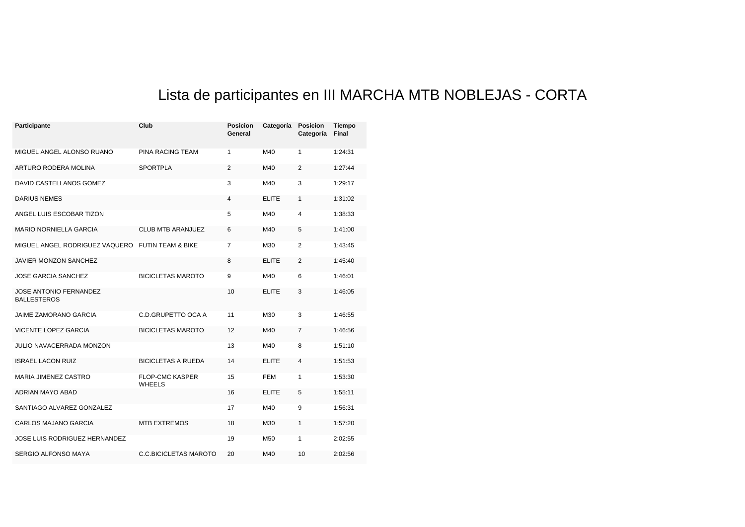## Lista de participantes en III MARCHA MTB NOBLEJAS - CORTA

| Participante                                        | Club                                    | <b>Posicion</b><br>General | Categoría    | <b>Posicion</b><br>Categoría | <b>Tiempo</b><br><b>Final</b> |
|-----------------------------------------------------|-----------------------------------------|----------------------------|--------------|------------------------------|-------------------------------|
| MIGUEL ANGEL ALONSO RUANO                           | PINA RACING TEAM                        | 1                          | M40          | 1                            | 1:24:31                       |
| ARTURO RODERA MOLINA                                | <b>SPORTPLA</b>                         | $\overline{2}$             | M40          | $\overline{2}$               | 1:27:44                       |
| DAVID CASTELLANOS GOMEZ                             |                                         | 3                          | M40          | 3                            | 1:29:17                       |
| <b>DARIUS NEMES</b>                                 |                                         | 4                          | <b>ELITE</b> | 1                            | 1:31:02                       |
| ANGEL LUIS ESCOBAR TIZON                            |                                         | 5                          | M40          | 4                            | 1:38:33                       |
| <b>MARIO NORNIELLA GARCIA</b>                       | CLUB MTB ARANJUEZ                       | 6                          | M40          | 5                            | 1:41:00                       |
| MIGUEL ANGEL RODRIGUEZ VAQUERO FUTIN TEAM & BIKE    |                                         | 7                          | M30          | 2                            | 1:43:45                       |
| JAVIER MONZON SANCHEZ                               |                                         | 8                          | <b>ELITE</b> | 2                            | 1:45:40                       |
| JOSE GARCIA SANCHEZ                                 | <b>BICICLETAS MAROTO</b>                | 9                          | M40          | 6                            | 1:46:01                       |
| <b>JOSE ANTONIO FERNANDEZ</b><br><b>BALLESTEROS</b> |                                         | 10                         | <b>ELITE</b> | 3                            | 1:46:05                       |
| <b>JAIME ZAMORANO GARCIA</b>                        | C.D.GRUPETTO OCA A                      | 11                         | M30          | 3                            | 1:46:55                       |
| <b>VICENTE LOPEZ GARCIA</b>                         | <b>BICICLETAS MAROTO</b>                | 12                         | M40          | $\overline{7}$               | 1:46:56                       |
| <b>JULIO NAVACERRADA MONZON</b>                     |                                         | 13                         | M40          | 8                            | 1:51:10                       |
| <b>ISRAEL LACON RUIZ</b>                            | <b>BICICLETAS A RUEDA</b>               | 14                         | <b>ELITE</b> | 4                            | 1:51:53                       |
| <b>MARIA JIMENEZ CASTRO</b>                         | <b>FLOP-CMC KASPER</b><br><b>WHEELS</b> | 15                         | <b>FEM</b>   | 1                            | 1:53:30                       |
| ADRIAN MAYO ABAD                                    |                                         | 16                         | <b>ELITE</b> | 5                            | 1:55:11                       |
| SANTIAGO ALVAREZ GONZALEZ                           |                                         | 17                         | M40          | 9                            | 1:56:31                       |
| CARLOS MAJANO GARCIA                                | <b>MTB EXTREMOS</b>                     | 18                         | M30          | 1                            | 1:57:20                       |
| JOSE LUIS RODRIGUEZ HERNANDEZ                       |                                         | 19                         | M50          | 1                            | 2:02:55                       |
| SERGIO ALFONSO MAYA                                 | <b>C.C.BICICLETAS MAROTO</b>            | 20                         | M40          | 10                           | 2:02:56                       |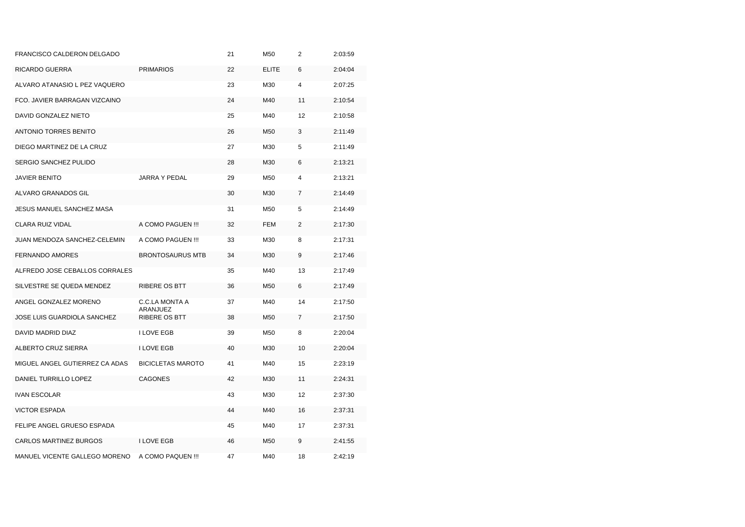| FRANCISCO CALDERON DELGADO     |                            | 21 | M50             | $\overline{2}$ | 2:03:59 |
|--------------------------------|----------------------------|----|-----------------|----------------|---------|
| RICARDO GUERRA                 | <b>PRIMARIOS</b>           | 22 | <b>ELITE</b>    | 6              | 2:04:04 |
| ALVARO ATANASIO L PEZ VAQUERO  |                            | 23 | M30             | 4              | 2:07:25 |
| FCO. JAVIER BARRAGAN VIZCAINO  |                            | 24 | M40             | 11             | 2:10:54 |
| DAVID GONZALEZ NIETO           |                            | 25 | M40             | 12             | 2:10:58 |
| <b>ANTONIO TORRES BENITO</b>   |                            | 26 | M <sub>50</sub> | 3              | 2:11:49 |
| DIEGO MARTINEZ DE LA CRUZ      |                            | 27 | M30             | 5              | 2:11:49 |
| SERGIO SANCHEZ PULIDO          |                            | 28 | M30             | 6              | 2:13:21 |
| <b>JAVIER BENITO</b>           | <b>JARRA Y PEDAL</b>       | 29 | M50             | 4              | 2:13:21 |
| ALVARO GRANADOS GIL            |                            | 30 | M30             | 7              | 2:14:49 |
| JESUS MANUEL SANCHEZ MASA      |                            | 31 | M50             | 5              | 2:14:49 |
| <b>CLARA RUIZ VIDAL</b>        | A COMO PAGUEN !!!          | 32 | <b>FEM</b>      | $\overline{2}$ | 2:17:30 |
| JUAN MENDOZA SANCHEZ-CELEMIN   | A COMO PAGUEN !!!          | 33 | M30             | 8              | 2:17:31 |
| <b>FERNANDO AMORES</b>         | <b>BRONTOSAURUS MTB</b>    | 34 | M30             | 9              | 2:17:46 |
| ALFREDO JOSE CEBALLOS CORRALES |                            | 35 | M40             | 13             | 2:17:49 |
| SILVESTRE SE QUEDA MENDEZ      | <b>RIBERE OS BTT</b>       | 36 | M50             | 6              | 2:17:49 |
| ANGEL GONZALEZ MORENO          | C.C.LA MONTA A<br>ARANJUEZ | 37 | M40             | 14             | 2:17:50 |
| JOSE LUIS GUARDIOLA SANCHEZ    | RIBERE OS BTT              | 38 | M50             | $\overline{7}$ | 2:17:50 |
| DAVID MADRID DIAZ              | <b>I LOVE EGB</b>          | 39 | M50             | 8              | 2:20:04 |
| ALBERTO CRUZ SIERRA            | <b>I LOVE EGB</b>          | 40 | M30             | 10             | 2:20:04 |
| MIGUEL ANGEL GUTIERREZ CA ADAS | <b>BICICLETAS MAROTO</b>   | 41 | M40             | 15             | 2:23:19 |
| DANIEL TURRILLO LOPEZ          | <b>CAGONES</b>             | 42 | M30             | 11             | 2:24:31 |
| <b>IVAN ESCOLAR</b>            |                            | 43 | M30             | 12             | 2:37:30 |
| <b>VICTOR ESPADA</b>           |                            | 44 | M40             | 16             | 2:37:31 |
| FELIPE ANGEL GRUESO ESPADA     |                            | 45 | M40             | 17             | 2:37:31 |
| CARLOS MARTINEZ BURGOS         | <b>I LOVE EGB</b>          | 46 | M <sub>50</sub> | 9              | 2:41:55 |
| MANUEL VICENTE GALLEGO MORENO  | A COMO PAQUEN !!!          | 47 | M40             | 18             | 2:42:19 |